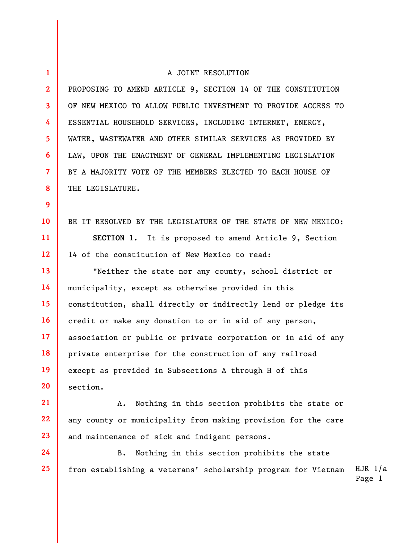## 1 2 3 4 5 6 7 8 9 10 11 12 13 14 15 16 17 18 19 20 21 A JOINT RESOLUTION PROPOSING TO AMEND ARTICLE 9, SECTION 14 OF THE CONSTITUTION OF NEW MEXICO TO ALLOW PUBLIC INVESTMENT TO PROVIDE ACCESS TO ESSENTIAL HOUSEHOLD SERVICES, INCLUDING INTERNET, ENERGY, WATER, WASTEWATER AND OTHER SIMILAR SERVICES AS PROVIDED BY LAW, UPON THE ENACTMENT OF GENERAL IMPLEMENTING LEGISLATION BY A MAJORITY VOTE OF THE MEMBERS ELECTED TO EACH HOUSE OF THE LEGISLATURE. BE IT RESOLVED BY THE LEGISLATURE OF THE STATE OF NEW MEXICO: SECTION 1. It is proposed to amend Article 9, Section 14 of the constitution of New Mexico to read: "Neither the state nor any county, school district or municipality, except as otherwise provided in this constitution, shall directly or indirectly lend or pledge its credit or make any donation to or in aid of any person, association or public or private corporation or in aid of any private enterprise for the construction of any railroad except as provided in Subsections A through H of this section. A. Nothing in this section prohibits the state or

22 23 any county or municipality from making provision for the care and maintenance of sick and indigent persons.

24

25

HJR 1/a B. Nothing in this section prohibits the state from establishing a veterans' scholarship program for Vietnam

Page 1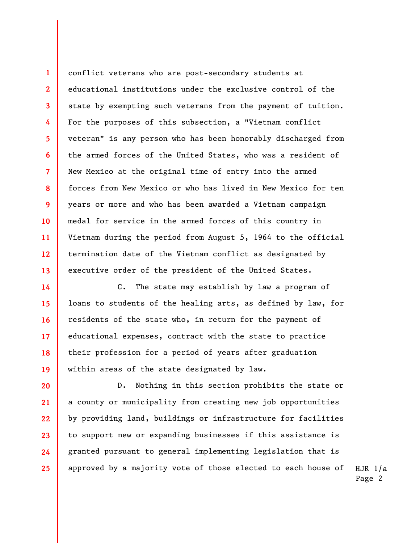conflict veterans who are post-secondary students at educational institutions under the exclusive control of the state by exempting such veterans from the payment of tuition. For the purposes of this subsection, a "Vietnam conflict veteran" is any person who has been honorably discharged from the armed forces of the United States, who was a resident of New Mexico at the original time of entry into the armed forces from New Mexico or who has lived in New Mexico for ten years or more and who has been awarded a Vietnam campaign medal for service in the armed forces of this country in Vietnam during the period from August 5, 1964 to the official termination date of the Vietnam conflict as designated by executive order of the president of the United States.

1

2

3

4

5

6

7

8

9

10

11

12

13

14 15 16 17 18 19 C. The state may establish by law a program of loans to students of the healing arts, as defined by law, for residents of the state who, in return for the payment of educational expenses, contract with the state to practice their profession for a period of years after graduation within areas of the state designated by law.

20 21 22 23 24 25 D. Nothing in this section prohibits the state or a county or municipality from creating new job opportunities by providing land, buildings or infrastructure for facilities to support new or expanding businesses if this assistance is granted pursuant to general implementing legislation that is approved by a majority vote of those elected to each house of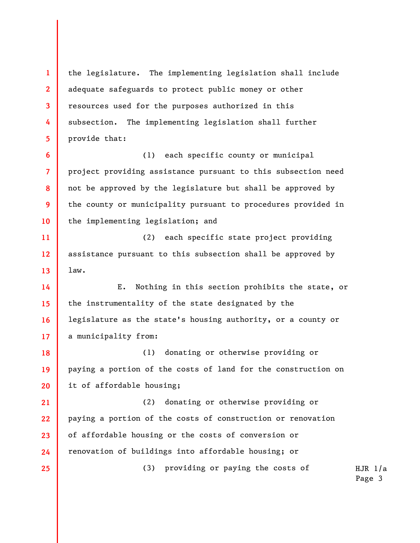1 2 3 4 5 6 7 8 9 10 11 12 13 14 15 16 17 18 19 20 21 22 23 24 25 the legislature. The implementing legislation shall include adequate safeguards to protect public money or other resources used for the purposes authorized in this subsection. The implementing legislation shall further provide that: (1) each specific county or municipal project providing assistance pursuant to this subsection need not be approved by the legislature but shall be approved by the county or municipality pursuant to procedures provided in the implementing legislation; and (2) each specific state project providing assistance pursuant to this subsection shall be approved by law. E. Nothing in this section prohibits the state, or the instrumentality of the state designated by the legislature as the state's housing authority, or a county or a municipality from: (1) donating or otherwise providing or paying a portion of the costs of land for the construction on it of affordable housing; (2) donating or otherwise providing or paying a portion of the costs of construction or renovation of affordable housing or the costs of conversion or renovation of buildings into affordable housing; or (3) providing or paying the costs of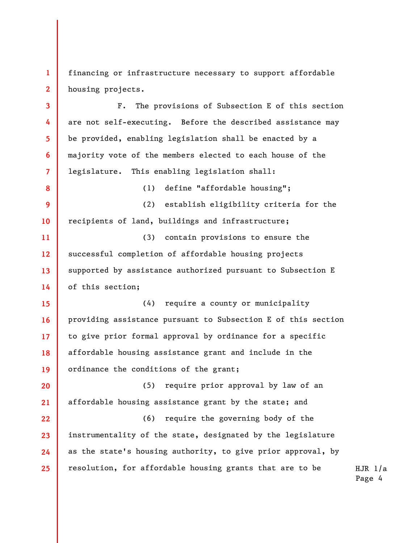1 2 financing or infrastructure necessary to support affordable housing projects.

3 4 5 6 7 F. The provisions of Subsection E of this section are not self-executing. Before the described assistance may be provided, enabling legislation shall be enacted by a majority vote of the members elected to each house of the legislature. This enabling legislation shall:

(1) define "affordable housing";

9 10 (2) establish eligibility criteria for the recipients of land, buildings and infrastructure;

8

11 12 13 14 (3) contain provisions to ensure the successful completion of affordable housing projects supported by assistance authorized pursuant to Subsection E of this section;

15 16 17 18 19 (4) require a county or municipality providing assistance pursuant to Subsection E of this section to give prior formal approval by ordinance for a specific affordable housing assistance grant and include in the ordinance the conditions of the grant;

20 21 (5) require prior approval by law of an affordable housing assistance grant by the state; and

22 23 24 25 (6) require the governing body of the instrumentality of the state, designated by the legislature as the state's housing authority, to give prior approval, by resolution, for affordable housing grants that are to be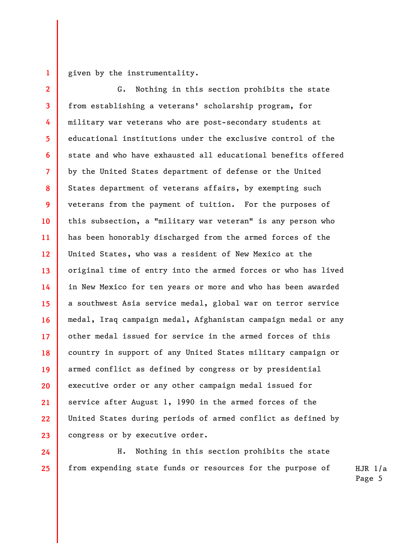1

24

25

given by the instrumentality.

2 3 4 5 6 7 8 9 10 11 12 13 14 15 16 17 18 19 20 21 22 23 G. Nothing in this section prohibits the state from establishing a veterans' scholarship program, for military war veterans who are post-secondary students at educational institutions under the exclusive control of the state and who have exhausted all educational benefits offered by the United States department of defense or the United States department of veterans affairs, by exempting such veterans from the payment of tuition. For the purposes of this subsection, a "military war veteran" is any person who has been honorably discharged from the armed forces of the United States, who was a resident of New Mexico at the original time of entry into the armed forces or who has lived in New Mexico for ten years or more and who has been awarded a southwest Asia service medal, global war on terror service medal, Iraq campaign medal, Afghanistan campaign medal or any other medal issued for service in the armed forces of this country in support of any United States military campaign or armed conflict as defined by congress or by presidential executive order or any other campaign medal issued for service after August 1, 1990 in the armed forces of the United States during periods of armed conflict as defined by congress or by executive order.

H. Nothing in this section prohibits the state from expending state funds or resources for the purpose of